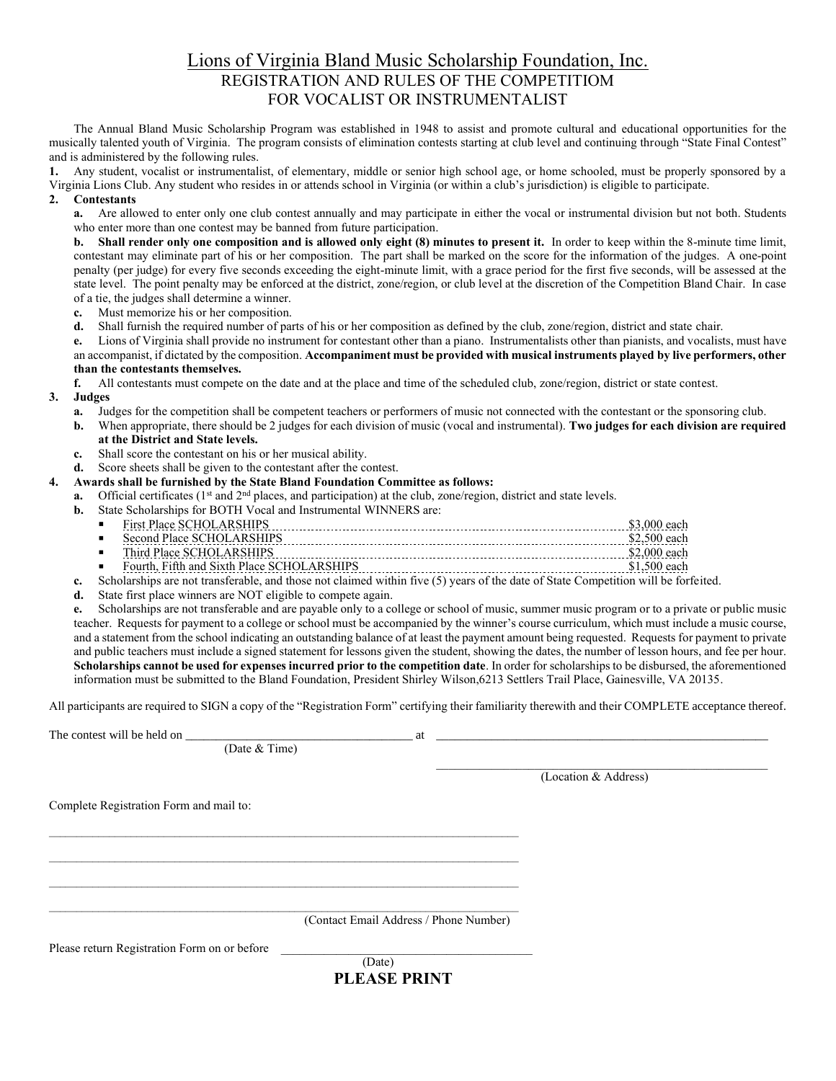## Lions of Virginia Bland Music Scholarship Foundation, Inc. REGISTRATION AND RULES OF THE COMPETITIOM FOR VOCALIST OR INSTRUMENTALIST

The Annual Bland Music Scholarship Program was established in 1948 to assist and promote cultural and educational opportunities for the musically talented youth of Virginia. The program consists of elimination contests starting at club level and continuing through "State Final Contest" and is administered by the following rules.

**1.** Any student, vocalist or instrumentalist, of elementary, middle or senior high school age, or home schooled, must be properly sponsored by a Virginia Lions Club. Any student who resides in or attends school in Virginia (or within a club's jurisdiction) is eligible to participate.

## **2. Contestants**

**a.** Are allowed to enter only one club contest annually and may participate in either the vocal or instrumental division but not both. Students who enter more than one contest may be banned from future participation.

**b.** Shall render only one composition and is allowed only eight (8) minutes to present it. In order to keep within the 8-minute time limit, contestant may eliminate part of his or her composition. The part shall be marked on the score for the information of the judges. A one-point penalty (per judge) for every five seconds exceeding the eight-minute limit, with a grace period for the first five seconds, will be assessed at the state level. The point penalty may be enforced at the district, zone/region, or club level at the discretion of the Competition Bland Chair. In case of a tie, the judges shall determine a winner.

- **c.** Must memorize his or her composition.
- **d.** Shall furnish the required number of parts of his or her composition as defined by the club, zone/region, district and state chair.

**e.** Lions of Virginia shall provide no instrument for contestant other than a piano. Instrumentalists other than pianists, and vocalists, must have an accompanist, if dictated by the composition. **Accompaniment must be provided with musical instruments played by live performers, other than the contestants themselves.**

**f.** All contestants must compete on the date and at the place and time of the scheduled club, zone/region, district or state contest.

## **3. Judges**

- **a.** Judges for the competition shall be competent teachers or performers of music not connected with the contestant or the sponsoring club.
- **b.** When appropriate, there should be 2 judges for each division of music (vocal and instrumental). **Two judges for each division are required at the District and State levels.**
- **c.** Shall score the contestant on his or her musical ability.
- **d.** Score sheets shall be given to the contestant after the contest.
- **4. Awards shall be furnished by the State Bland Foundation Committee as follows:**
	- **a.** Official certificates ( $1<sup>st</sup>$  and  $2<sup>nd</sup>$  places, and participation) at the club, zone/region, district and state levels.
	- **b.** State Scholarships for BOTH Vocal and Instrumental WINNERS are:

| - 8 |   | . |
|-----|---|---|
| п   |   |   |
|     | . |   |

- Third Place SCHOLARSHIPS \$2,000 each
- Fourth, Fifth and Sixth Place SCHOLARSHIPS \$1,500 each **c.** Scholarships are not transferable, and those not claimed within five (5) years of the date of State Competition will be forfeited.
- **d.** State first place winners are NOT eligible to compete again.

**e.** Scholarships are not transferable and are payable only to a college or school of music, summer music program or to a private or public music teacher. Requests for payment to a college or school must be accompanied by the winner's course curriculum, which must include a music course, and a statement from the school indicating an outstanding balance of at least the payment amount being requested. Requests for payment to private and public teachers must include a signed statement for lessons given the student, showing the dates, the number of lesson hours, and fee per hour. **Scholarships cannot be used for expenses incurred prior to the competition date**. In order for scholarships to be disbursed, the aforementioned information must be submitted to the Bland Foundation, President Shirley Wilson,6213 Settlers Trail Place, Gainesville, VA 20135.

All participants are required to SIGN a copy of the "Registration Form" certifying their familiarity therewith and their COMPLETE acceptance thereof.

|                                              | at                                     |                      |  |
|----------------------------------------------|----------------------------------------|----------------------|--|
| (Date & Time)                                |                                        |                      |  |
|                                              |                                        | (Location & Address) |  |
| Complete Registration Form and mail to:      |                                        |                      |  |
|                                              |                                        |                      |  |
|                                              |                                        |                      |  |
|                                              |                                        |                      |  |
|                                              | (Contact Email Address / Phone Number) |                      |  |
| Please return Registration Form on or before |                                        |                      |  |
|                                              | (Date)                                 |                      |  |

**PLEASE PRINT**